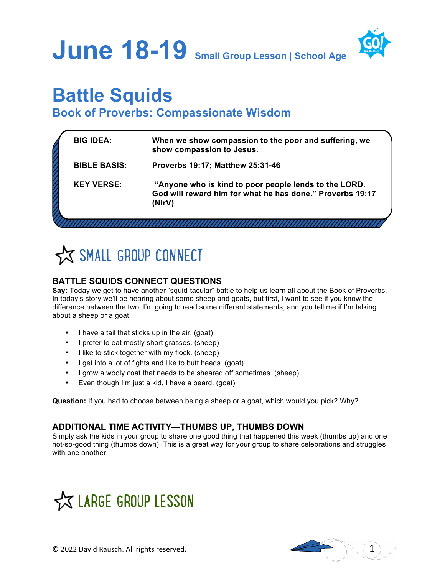**June 18-19 Small Group Lesson | School Age**



# **Battle Squids**

**Book of Proverbs: Compassionate Wisdom**

| <b>BIG IDEA:</b>    | When we show compassion to the poor and suffering, we<br>show compassion to Jesus.                                           |
|---------------------|------------------------------------------------------------------------------------------------------------------------------|
| <b>BIBLE BASIS:</b> | <b>Proverbs 19:17; Matthew 25:31-46</b>                                                                                      |
| <b>KEY VERSE:</b>   | "Anyone who is kind to poor people lends to the LORD.<br>God will reward him for what he has done." Proverbs 19:17<br>(NIrV) |
|                     |                                                                                                                              |



## **BATTLE SQUIDS CONNECT QUESTIONS**

**Say:** Today we get to have another "squid-tacular" battle to help us learn all about the Book of Proverbs. In today's story we'll be hearing about some sheep and goats, but first, I want to see if you know the difference between the two. I'm going to read some different statements, and you tell me if I'm talking about a sheep or a goat.

- I have a tail that sticks up in the air. (goat)
- I prefer to eat mostly short grasses. (sheep)
- I like to stick together with my flock. (sheep)
- I get into a lot of fights and like to butt heads. (goat)
- I grow a wooly coat that needs to be sheared off sometimes. (sheep)
- Even though I'm just a kid, I have a beard. (goat)

**Question:** If you had to choose between being a sheep or a goat, which would you pick? Why?

## **ADDITIONAL TIME ACTIVITY—THUMBS UP, THUMBS DOWN**

Simply ask the kids in your group to share one good thing that happened this week (thumbs up) and one not-so-good thing (thumbs down). This is a great way for your group to share celebrations and struggles with one another.



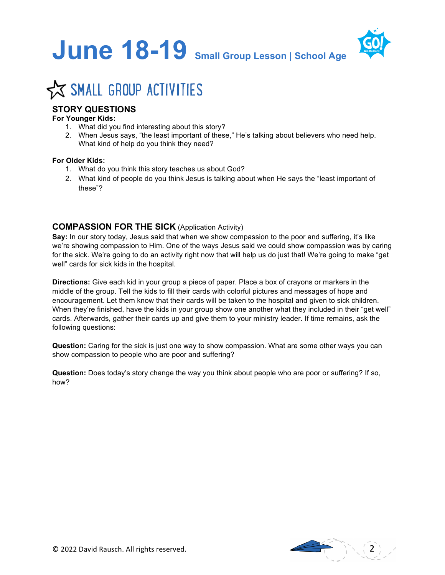



# **X SMALL GROUP ACTIVITIES**

### **STORY QUESTIONS**

#### **For Younger Kids:**

- 1. What did you find interesting about this story?
- 2. When Jesus says, "the least important of these," He's talking about believers who need help. What kind of help do you think they need?

#### **For Older Kids:**

- 1. What do you think this story teaches us about God?
- 2. What kind of people do you think Jesus is talking about when He says the "least important of these"?

#### **COMPASSION FOR THE SICK** (Application Activity)

**Say:** In our story today, Jesus said that when we show compassion to the poor and suffering, it's like we're showing compassion to Him. One of the ways Jesus said we could show compassion was by caring for the sick. We're going to do an activity right now that will help us do just that! We're going to make "get well" cards for sick kids in the hospital.

**Directions:** Give each kid in your group a piece of paper. Place a box of crayons or markers in the middle of the group. Tell the kids to fill their cards with colorful pictures and messages of hope and encouragement. Let them know that their cards will be taken to the hospital and given to sick children. When they're finished, have the kids in your group show one another what they included in their "get well" cards. Afterwards, gather their cards up and give them to your ministry leader. If time remains, ask the following questions:

**Question:** Caring for the sick is just one way to show compassion. What are some other ways you can show compassion to people who are poor and suffering?

**Question:** Does today's story change the way you think about people who are poor or suffering? If so, how?